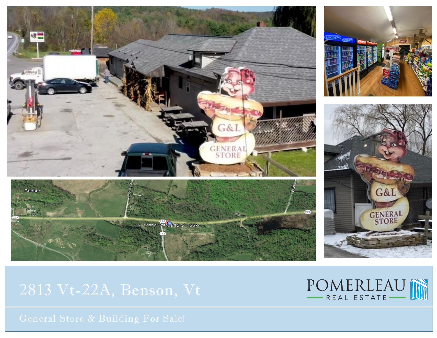

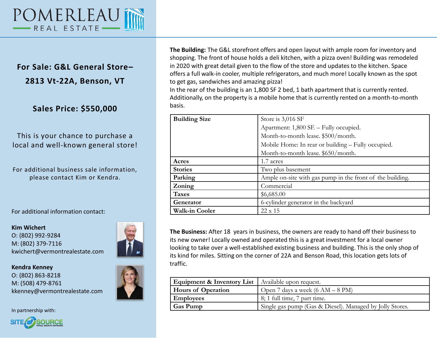

## **For Sale: G&L General Store– 2813 Vt-22A, Benson, VT**

## **Sales Price: \$550,000**

## This is your chance to purchase a local and well-known general store!

For additional business sale information, please contact Kim or Kendra.

For additional information contact:

**Kim Wichert** O: (802) 992-9284 M: (802) 379-7116 kwichert@vermontrealestate.com



**Kendra Kenney** O: (802) 863-8218 M: (508) 479-8761 kkenney@vermontrealestate.com

In partnership with:



**The Building:** The G&L storefront offers and open layout with ample room for inventory and shopping. The front of house holds a deli kitchen, with a pizza oven! Building was remodeled in 2020 with great detail given to the flow of the store and updates to the kitchen. Space offers a full walk-in cooler, multiple refrigerators, and much more! Locally known as the spot to get gas, sandwiches and amazing pizza!

In the rear of the building is an 1,800 SF 2 bed, 1 bath apartment that is currently rented. Additionally, on the property is a mobile home that is currently rented on a month-to-month basis.

| <b>Building Size</b>  | Store is 3,016 SF                                         |
|-----------------------|-----------------------------------------------------------|
|                       | Apartment: 1,800 SF. - Fully occupied.                    |
|                       | Month-to-month lease. \$500/month.                        |
|                       | Mobile Home: In rear or building – Fully occupied.        |
|                       | Month-to-month lease. \$650/month.                        |
| Acres                 | 1.7 acres                                                 |
| <b>Stories</b>        | Two plus basement                                         |
| Parking               | Ample on-site with gas pump in the front of the building. |
| Zoning                | Commercial                                                |
| <b>Taxes</b>          | \$6,685.00                                                |
| Generator             | 6-cylinder generator in the backyard                      |
| <b>Walk-in Cooler</b> | 22 x 15                                                   |

**The Business:** After 18 years in business, the owners are ready to hand off their business to its new owner! Locally owned and operated this is a great investment for a local owner looking to take over a well-established existing business and building. This is the only shop of its kind for miles. Sitting on the corner of 22A and Benson Road, this location gets lots of traffic.

| <b>Equipment &amp; Inventory List</b>   Available upon request. |                                                          |
|-----------------------------------------------------------------|----------------------------------------------------------|
| <b>Hours of Operation</b>                                       | Open 7 days a week $(6 AM - 8 PM)$                       |
| <b>Employees</b>                                                | $\vert 8; 1 \text{ full time}, 7 \text{ part time}.$     |
| Gas Pump                                                        | Single gas pump (Gas & Diesel). Managed by Jolly Stores. |